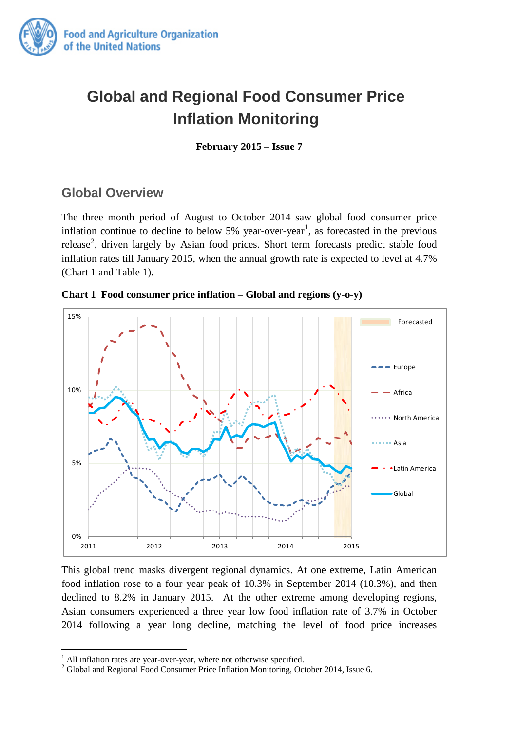

# **Global and Regional Food Consumer Price Inflation Monitoring**

**February 2015 – Issue 7**

## **Global Overview**

The three month period of August to October 2014 saw global food consumer price inflation continue to decline to below  $5\%$  year-over-year<sup>[1](#page-0-0)</sup>, as forecasted in the previous release<sup>[2](#page-0-1)</sup>, driven largely by Asian food prices. Short term forecasts predict stable food inflation rates till January 2015, when the annual growth rate is expected to level at 4.7% (Chart 1 and Table 1).





This global trend masks divergent regional dynamics. At one extreme, Latin American food inflation rose to a four year peak of 10.3% in September 2014 (10.3%), and then declined to 8.2% in January 2015. At the other extreme among developing regions, Asian consumers experienced a three year low food inflation rate of 3.7% in October 2014 following a year long decline, matching the level of food price increases

-

<span id="page-0-1"></span><span id="page-0-0"></span><sup>&</sup>lt;sup>1</sup> All inflation rates are year-over-year, where not otherwise specified. <sup>2</sup> Global and Regional Food Consumer Price Inflation Monitoring, October 2014, Issue 6.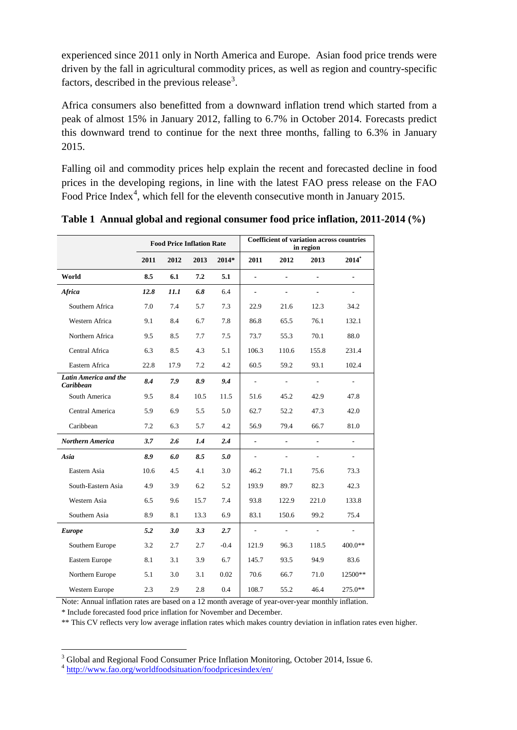experienced since 2011 only in North America and Europe. Asian food price trends were driven by the fall in agricultural commodity prices, as well as region and country-specific factors, described in the previous release<sup>[3](#page-1-0)</sup>.

Africa consumers also benefitted from a downward inflation trend which started from a peak of almost 15% in January 2012, falling to 6.7% in October 2014. Forecasts predict this downward trend to continue for the next three months, falling to 6.3% in January 2015.

Falling oil and commodity prices help explain the recent and forecasted decline in food prices in the developing regions, in line with the latest FAO press release on the FAO Food Price Index<sup>[4](#page-1-1)</sup>, which fell for the eleventh consecutive month in January 2015.

|                                    | <b>Food Price Inflation Rate</b> |      |      |         | <b>Coefficient of variation across countries</b><br>in region |                          |                          |                          |
|------------------------------------|----------------------------------|------|------|---------|---------------------------------------------------------------|--------------------------|--------------------------|--------------------------|
|                                    | 2011                             | 2012 | 2013 | $2014*$ | 2011                                                          | 2012                     | 2013                     | $2014^*$                 |
| World                              | 8.5                              | 6.1  | 7.2  | 5.1     | ÷.                                                            | $\overline{\phantom{a}}$ | $\overline{a}$           | $\overline{a}$           |
| Africa                             | 12.8                             | 11.1 | 6.8  | 6.4     | $\qquad \qquad \blacksquare$                                  | -                        | $\blacksquare$           | $\overline{\phantom{0}}$ |
| Southern Africa                    | 7.0                              | 7.4  | 5.7  | 7.3     | 22.9                                                          | 21.6                     | 12.3                     | 34.2                     |
| Western Africa                     | 9.1                              | 8.4  | 6.7  | 7.8     | 86.8                                                          | 65.5                     | 76.1                     | 132.1                    |
| Northern Africa                    | 9.5                              | 8.5  | 7.7  | 7.5     | 73.7                                                          | 55.3                     | 70.1                     | 88.0                     |
| Central Africa                     | 6.3                              | 8.5  | 4.3  | 5.1     | 106.3                                                         | 110.6                    | 155.8                    | 231.4                    |
| Eastern Africa                     | 22.8                             | 17.9 | 7.2  | 4.2     | 60.5                                                          | 59.2                     | 93.1                     | 102.4                    |
| Latin America and the<br>Caribbean | 8.4                              | 7.9  | 8.9  | 9.4     | $\overline{\phantom{a}}$                                      | $\overline{a}$           | $\overline{a}$           | $\overline{a}$           |
| South America                      | 9.5                              | 8.4  | 10.5 | 11.5    | 51.6                                                          | 45.2                     | 42.9                     | 47.8                     |
| Central America                    | 5.9                              | 6.9  | 5.5  | 5.0     | 62.7                                                          | 52.2                     | 47.3                     | 42.0                     |
| Caribbean                          | 7.2                              | 6.3  | 5.7  | 4.2     | 56.9                                                          | 79.4                     | 66.7                     | 81.0                     |
| Northern America                   | 3.7                              | 2.6  | 1.4  | 2,4     | $\overline{\phantom{a}}$                                      | -                        |                          | ÷,                       |
| Asia                               | 8.9                              | 6.0  | 8.5  | 5.0     | ÷,                                                            | $\overline{a}$           |                          | $\overline{\phantom{a}}$ |
| Eastern Asia                       | 10.6                             | 4.5  | 4.1  | 3.0     | 46.2                                                          | 71.1                     | 75.6                     | 73.3                     |
| South-Eastern Asia                 | 4.9                              | 3.9  | 6.2  | 5.2     | 193.9                                                         | 89.7                     | 82.3                     | 42.3                     |
| Western Asia                       | 6.5                              | 9.6  | 15.7 | 7.4     | 93.8                                                          | 122.9                    | 221.0                    | 133.8                    |
| Southern Asia                      | 8.9                              | 8.1  | 13.3 | 6.9     | 83.1                                                          | 150.6                    | 99.2                     | 75.4                     |
| <b>Europe</b>                      | 5.2                              | 3.0  | 3.3  | 2.7     | $\blacksquare$                                                | $\mathcal{L}$            | $\overline{\phantom{a}}$ | $\overline{\phantom{a}}$ |
| Southern Europe                    | 3.2                              | 2.7  | 2.7  | $-0.4$  | 121.9                                                         | 96.3                     | 118.5                    | 400.0**                  |
| Eastern Europe                     | 8.1                              | 3.1  | 3.9  | 6.7     | 145.7                                                         | 93.5                     | 94.9                     | 83.6                     |
| Northern Europe                    | 5.1                              | 3.0  | 3.1  | 0.02    | 70.6                                                          | 66.7                     | 71.0                     | 12500**                  |
| Western Europe                     | 2.3                              | 2.9  | 2.8  | 0.4     | 108.7                                                         | 55.2                     | 46.4                     | 275.0**                  |

**Table 1 Annual global and regional consumer food price inflation, 2011-2014 (%)**

Note: Annual inflation rates are based on a 12 month average of year-over-year monthly inflation.

\* Include forecasted food price inflation for November and December.

\*\* This CV reflects very low average inflation rates which makes country deviation in inflation rates even higher.

-

 $3$  Global and Regional Food Consumer Price Inflation Monitoring, October 2014, Issue 6.

<span id="page-1-1"></span><span id="page-1-0"></span><sup>4</sup> <http://www.fao.org/worldfoodsituation/foodpricesindex/en/>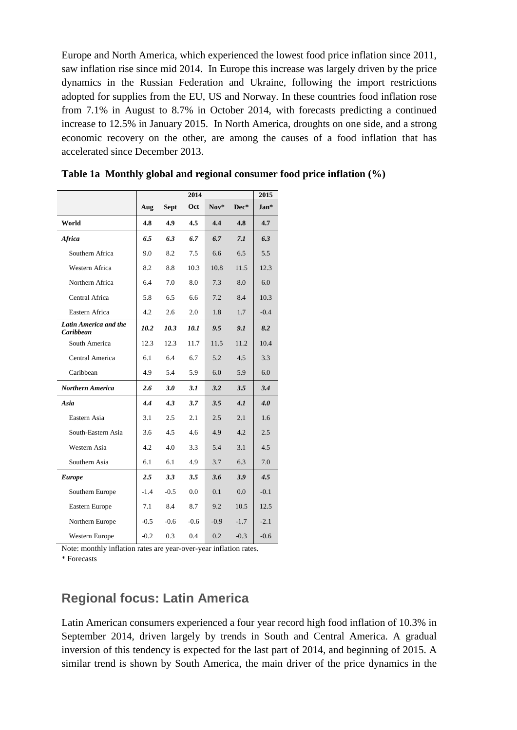Europe and North America, which experienced the lowest food price inflation since 2011, saw inflation rise since mid 2014. In Europe this increase was largely driven by the price dynamics in the Russian Federation and Ukraine, following the import restrictions adopted for supplies from the EU, US and Norway. In these countries food inflation rose from 7.1% in August to 8.7% in October 2014, with forecasts predicting a continued increase to 12.5% in January 2015. In North America, droughts on one side, and a strong economic recovery on the other, are among the causes of a food inflation that has accelerated since December 2013.

|                                    | 2014   |             |        |               |        |        |  |  |
|------------------------------------|--------|-------------|--------|---------------|--------|--------|--|--|
|                                    | Aug    | <b>Sept</b> | Oct    | $Now*$        | Dec*   | $Jan*$ |  |  |
| World                              | 4.8    | 4.9         | 4.5    | 4.4           | 4.8    | 4.7    |  |  |
| Africa                             | 6.5    | 6.3         | 6.7    | 6.7           | 7.1    | 6.3    |  |  |
| Southern Africa                    | 9.0    | 8.2         | 7.5    | 6.6           | 6.5    | 5.5    |  |  |
| Western Africa                     | 8.2    | 8.8         | 10.3   | 10.8          | 11.5   | 12.3   |  |  |
| Northern Africa                    | 6.4    | 7.0         | 8.0    | 7.3           | 8.0    | 6.0    |  |  |
| Central Africa                     | 5.8    | 6.5         | 6.6    | 7.2           | 8.4    | 10.3   |  |  |
| Eastern Africa                     | 4.2    | 2.6         | 2.0    | 1.8           | 1.7    | $-0.4$ |  |  |
| Latin America and the<br>Caribbean | 10.2   | 10.3        | 10.1   | 9.5           | 9.1    | 8.2    |  |  |
| South America                      | 12.3   | 12.3        | 11.7   | 11.5          | 11.2   | 10.4   |  |  |
| Central America                    | 6.1    | 6.4         | 6.7    | 5.2           | 4.5    | 3.3    |  |  |
| Caribbean                          | 4.9    | 5.4         | 5.9    | 6.0           | 5.9    | 6.0    |  |  |
| <b>Northern America</b>            | 2.6    | 3.0         | 3.1    | 3.2           | 3.5    | 3.4    |  |  |
| Asia                               | 4.4    | 4.3         | 3.7    | $3.5^{\circ}$ | 4.1    | 4.0    |  |  |
| Eastern Asia                       | 3.1    | 2.5         | 2.1    | 2.5           | 2.1    | 1.6    |  |  |
| South-Eastern Asia                 | 3.6    | 4.5         | 4.6    | 4.9           | 4.2    | 2.5    |  |  |
| Western Asia                       | 4.2    | 4.0         | 3.3    | 5.4           | 3.1    | 4.5    |  |  |
| Southern Asia                      | 6.1    | 6.1         | 4.9    | 3.7           | 6.3    | 7.0    |  |  |
| <b>Europe</b>                      | 2.5    | 3.3         | 3.5    | 3.6           | 3.9    | 4.5    |  |  |
| Southern Europe                    | $-1.4$ | $-0.5$      | 0.0    | 0.1           | 0.0    | $-0.1$ |  |  |
| Eastern Europe                     | 7.1    | 8.4         | 8.7    | 9.2           | 10.5   | 12.5   |  |  |
| Northern Europe                    | $-0.5$ | $-0.6$      | $-0.6$ | $-0.9$        | $-1.7$ | $-2.1$ |  |  |
| <b>Western Europe</b>              | $-0.2$ | 0.3         | 0.4    | 0.2           | $-0.3$ | $-0.6$ |  |  |

**Table 1a Monthly global and regional consumer food price inflation (%)**

Note: monthly inflation rates are year-over-year inflation rates.

\* Forecasts

### **Regional focus: Latin America**

Latin American consumers experienced a four year record high food inflation of 10.3% in September 2014, driven largely by trends in South and Central America. A gradual inversion of this tendency is expected for the last part of 2014, and beginning of 2015. A similar trend is shown by South America, the main driver of the price dynamics in the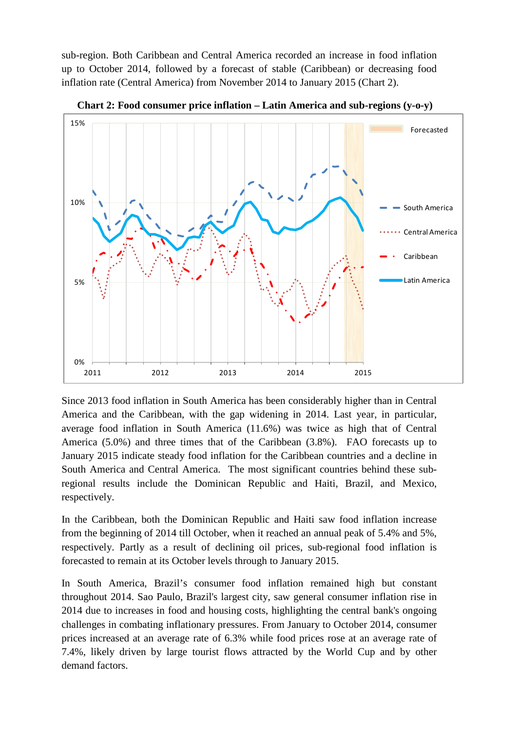sub-region. Both Caribbean and Central America recorded an increase in food inflation up to October 2014, followed by a forecast of stable (Caribbean) or decreasing food inflation rate (Central America) from November 2014 to January 2015 (Chart 2).



**Chart 2: Food consumer price inflation – Latin America and sub-regions (y-o-y)**

Since 2013 food inflation in South America has been considerably higher than in Central America and the Caribbean, with the gap widening in 2014. Last year, in particular, average food inflation in South America (11.6%) was twice as high that of Central America (5.0%) and three times that of the Caribbean (3.8%). FAO forecasts up to January 2015 indicate steady food inflation for the Caribbean countries and a decline in South America and Central America. The most significant countries behind these subregional results include the Dominican Republic and Haiti, Brazil, and Mexico, respectively.

In the Caribbean, both the Dominican Republic and Haiti saw food inflation increase from the beginning of 2014 till October, when it reached an annual peak of 5.4% and 5%, respectively. Partly as a result of declining oil prices, sub-regional food inflation is forecasted to remain at its October levels through to January 2015.

In South America, Brazil's consumer food inflation remained high but constant throughout 2014. Sao Paulo, Brazil's largest city, saw general consumer inflation rise in 2014 due to increases in food and housing costs, highlighting the central bank's ongoing challenges in combating inflationary pressures. From January to October 2014, consumer prices increased at an average rate of 6.3% while food prices rose at an average rate of 7.4%, likely driven by large tourist flows attracted by the World Cup and by other demand factors.